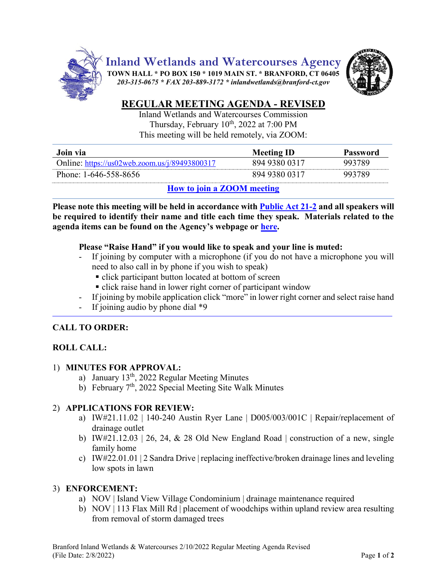

**Inland Wetlands and Watercourses Agency**

**TOWN HALL \* PO BOX 150 \* 1019 MAIN ST. \* BRANFORD, CT 06405** *203-315-0675 \* FAX 203-889-3172 \* inlandwetlands@branford-ct.gov* 



# **REGULAR MEETING AGENDA - REVISED**

Inland Wetlands and Watercourses Commission Thursday, February 10<sup>th</sup>, 2022 at 7:00 PM This meeting will be held remotely, via ZOOM:

| Join via                                      | <b>Meeting ID</b> | <b>Password</b> |
|-----------------------------------------------|-------------------|-----------------|
| Online: https://us02web.zoom.us/j/89493800317 | 894 9380 0317     | 993789          |
| Phone: 1-646-558-8656                         | 894 9380 0317     | 993789          |
| $\mathbf{H}$ $\mathbf{H}$ $\mathbf{H}$        |                   |                 |

## **How [to join a ZOOM meeting](https://www.youtube.com/embed/hIkCmbvAHQQ?rel=0&autoplay=1&cc_load_policy=1)**

**Please note this meeting will be held in accordance wit[h Public Act 21-2](https://www.cga.ct.gov/2021/ACT/PA/PDF/2021PA-00002-R00SB-01202SS1-PA.PDF) and all speakers will be required to identify their name and title each time they speak. Materials related to the agenda items can be found on the Agency's webpage or [here.](https://www.dropbox.com/sh/aaqscumbqriwlm5/AADJjQJHfo-OSq0EKF8GdRqaa?dl=0)**

## **Please "Raise Hand" if you would like to speak and your line is muted:**

- If joining by computer with a microphone (if you do not have a microphone you will need to also call in by phone if you wish to speak)
	- click participant button located at bottom of screen
	- click raise hand in lower right corner of participant window
- If joining by mobile application click "more" in lower right corner and select raise hand
- If joining audio by phone dial  $*9$

# **CALL TO ORDER:**

# **ROLL CALL:**

### 1) **MINUTES FOR APPROVAL:**

- a) January 13<sup>th</sup>, 2022 Regular Meeting Minutes
- b) February 7<sup>th</sup>, 2022 Special Meeting Site Walk Minutes

### 2) **APPLICATIONS FOR REVIEW:**

- a) IW#21.11.02 | 140-240 Austin Ryer Lane | D005/003/001C | Repair/replacement of drainage outlet
- b) IW#21.12.03 | 26, 24,  $\&$  28 Old New England Road | construction of a new, single family home
- c) IW#22.01.01 | 2 Sandra Drive | replacing ineffective/broken drainage lines and leveling low spots in lawn

### 3) **ENFORCEMENT:**

- a) NOV | Island View Village Condominium | drainage maintenance required
- b) NOV | 113 Flax Mill Rd | placement of woodchips within upland review area resulting from removal of storm damaged trees